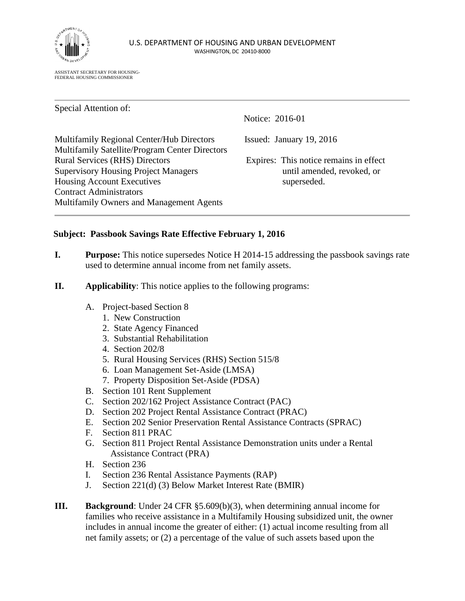

ASSISTANT SECRETARY FOR HOUSING-FEDERAL HOUSING COMMISSIONER

Special Attention of: Notice: 2016-01 Multifamily Regional Center/Hub Directors Issued: January 19, 2016 Multifamily Satellite/Program Center Directors Rural Services (RHS) Directors Expires: This notice remains in effect Supervisory Housing Project Managers until amended, revoked, or Housing Account Executives superseded. Contract Administrators Multifamily Owners and Management Agents

## **Subject: Passbook Savings Rate Effective February 1, 2016**

- **I. Purpose:** This notice supersedes Notice H 2014-15 addressing the passbook savings rate used to determine annual income from net family assets.
- **II. Applicability**: This notice applies to the following programs:
	- A. Project-based Section 8
		- 1. New Construction
		- 2. State Agency Financed
		- 3. Substantial Rehabilitation
		- 4. Section 202/8
		- 5. Rural Housing Services (RHS) Section 515/8
		- 6. Loan Management Set-Aside (LMSA)
		- 7. Property Disposition Set-Aside (PDSA)
	- B. Section 101 Rent Supplement
	- C. Section 202/162 Project Assistance Contract (PAC)
	- D. Section 202 Project Rental Assistance Contract (PRAC)
	- E. Section 202 Senior Preservation Rental Assistance Contracts (SPRAC)
	- F. Section 811 PRAC
	- G. Section 811 Project Rental Assistance Demonstration units under a Rental Assistance Contract (PRA)
	- H. Section 236
	- I. Section 236 Rental Assistance Payments (RAP)
	- J. Section 221(d) (3) Below Market Interest Rate (BMIR)
- **III. Background**: Under 24 CFR §5.609(b)(3), when determining annual income for families who receive assistance in a Multifamily Housing subsidized unit, the owner includes in annual income the greater of either: (1) actual income resulting from all net family assets; or (2) a percentage of the value of such assets based upon the